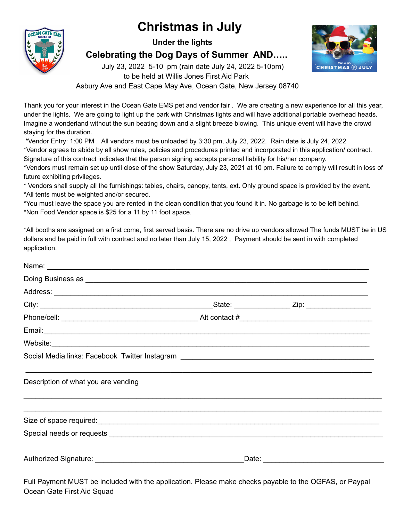## **Christmas in July**



**Under the lights**

**Celebrating the Dog Days of Summer AND…..**

July 23, 2022 5-10 pm (rain date July 24, 2022 5-10pm)



to be held at Willis Jones First Aid Park

Asbury Ave and East Cape May Ave, Ocean Gate, New Jersey 08740

Thank you for your interest in the Ocean Gate EMS pet and vendor fair . We are creating a new experience for all this year, under the lights. We are going to light up the park with Christmas lights and will have additional portable overhead heads. Imagine a wonderland without the sun beating down and a slight breeze blowing. This unique event will have the crowd staying for the duration.

\*Vendor Entry: 1:00 PM . All vendors must be unloaded by 3:30 pm, July 23, 2022. Rain date is July 24, 2022 \*Vendor agrees to abide by all show rules, policies and procedures printed and incorporated in this application/ contract. Signature of this contract indicates that the person signing accepts personal liability for his/her company.

\*Vendors must remain set up until close of the show Saturday, July 23, 2021 at 10 pm. Failure to comply will result in loss of future exhibiting privileges.

\* Vendors shall supply all the furnishings: tables, chairs, canopy, tents, ext. Only ground space is provided by the event. \*All tents must be weighted and/or secured.

\*You must leave the space you are rented in the clean condition that you found it in. No garbage is to be left behind. \*Non Food Vendor space is \$25 for a 11 by 11 foot space.

\*All booths are assigned on a first come, first served basis. There are no drive up vendors allowed The funds MUST be in US dollars and be paid in full with contract and no later than July 15, 2022 , Payment should be sent in with completed application.

| Doing Business as <b>contract the contract of the contract of the contract of the contract of the contract of the contract of the contract of the contract of the contract of the contract of the contract of the contract of th</b> |  |                                       |  |
|--------------------------------------------------------------------------------------------------------------------------------------------------------------------------------------------------------------------------------------|--|---------------------------------------|--|
|                                                                                                                                                                                                                                      |  |                                       |  |
|                                                                                                                                                                                                                                      |  |                                       |  |
|                                                                                                                                                                                                                                      |  |                                       |  |
|                                                                                                                                                                                                                                      |  |                                       |  |
|                                                                                                                                                                                                                                      |  |                                       |  |
|                                                                                                                                                                                                                                      |  |                                       |  |
| Description of what you are vending                                                                                                                                                                                                  |  |                                       |  |
|                                                                                                                                                                                                                                      |  |                                       |  |
|                                                                                                                                                                                                                                      |  |                                       |  |
|                                                                                                                                                                                                                                      |  | _Date: ______________________________ |  |

Full Payment MUST be included with the application. Please make checks payable to the OGFAS, or Paypal Ocean Gate First Aid Squad